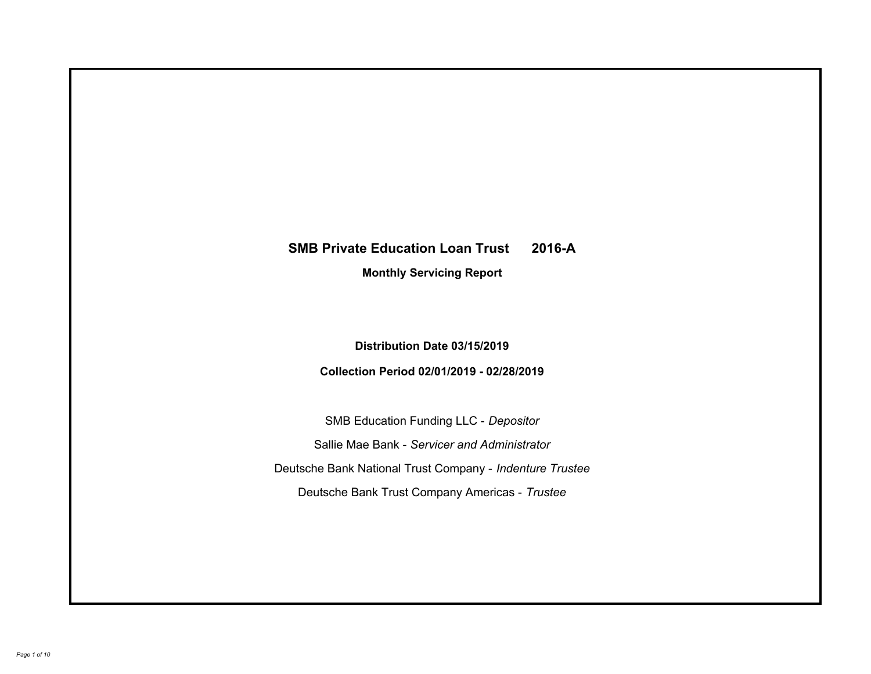# **SMB Private Education Loan Trust 2016-A Monthly Servicing Report**

## **Distribution Date 03/15/2019**

## **Collection Period 02/01/2019 - 02/28/2019**

SMB Education Funding LLC - *Depositor* Sallie Mae Bank - *Servicer and Administrator* Deutsche Bank National Trust Company - *Indenture Trustee* Deutsche Bank Trust Company Americas - *Trustee*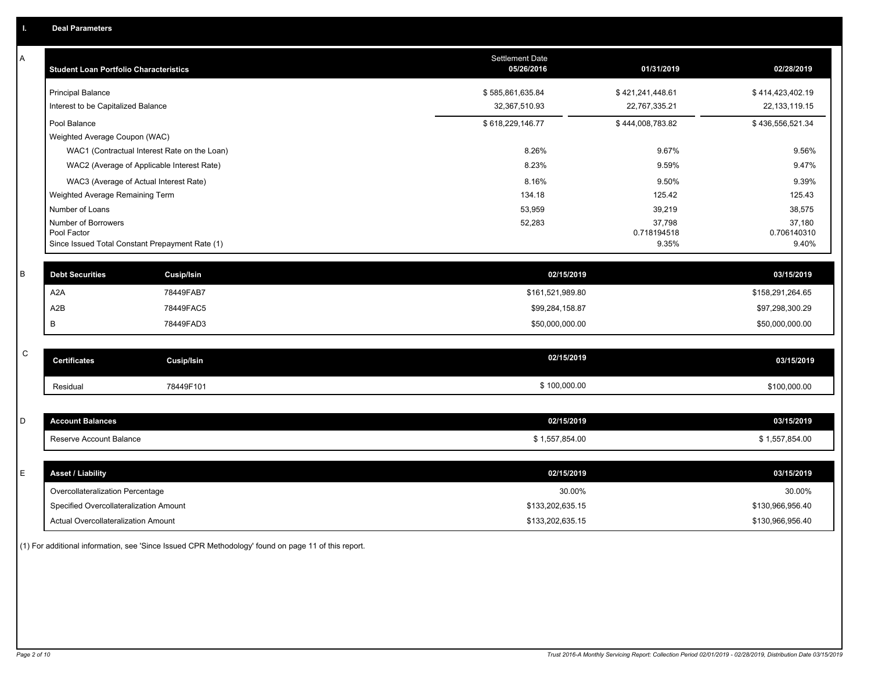| A           | <b>Student Loan Portfolio Characteristics</b> |                                                 | <b>Settlement Date</b><br>05/26/2016 | 01/31/2019            | 02/28/2019            |
|-------------|-----------------------------------------------|-------------------------------------------------|--------------------------------------|-----------------------|-----------------------|
|             | <b>Principal Balance</b>                      |                                                 | \$585,861,635.84                     | \$421,241,448.61      | \$414,423,402.19      |
|             | Interest to be Capitalized Balance            |                                                 | 32,367,510.93                        | 22,767,335.21         | 22, 133, 119. 15      |
|             | Pool Balance                                  |                                                 | \$618,229,146.77                     | \$444,008,783.82      | \$436,556,521.34      |
|             | Weighted Average Coupon (WAC)                 |                                                 |                                      |                       |                       |
|             |                                               | WAC1 (Contractual Interest Rate on the Loan)    | 8.26%                                | 9.67%                 | 9.56%                 |
|             |                                               | WAC2 (Average of Applicable Interest Rate)      | 8.23%                                | 9.59%                 | 9.47%                 |
|             |                                               | WAC3 (Average of Actual Interest Rate)          | 8.16%                                | 9.50%                 | 9.39%                 |
|             | Weighted Average Remaining Term               |                                                 | 134.18                               | 125.42                | 125.43                |
|             | Number of Loans                               |                                                 | 53,959                               | 39,219                | 38,575                |
|             | Number of Borrowers<br>Pool Factor            |                                                 | 52,283                               | 37,798<br>0.718194518 | 37,180<br>0.706140310 |
|             |                                               | Since Issued Total Constant Prepayment Rate (1) |                                      | 9.35%                 | 9.40%                 |
| B           | <b>Debt Securities</b>                        | <b>Cusip/Isin</b>                               | 02/15/2019                           |                       | 03/15/2019            |
|             | A <sub>2</sub> A                              | 78449FAB7                                       | \$161,521,989.80                     |                       | \$158,291,264.65      |
|             | A <sub>2</sub> B                              | 78449FAC5                                       | \$99,284,158.87                      |                       | \$97,298,300.29       |
|             | В                                             | 78449FAD3                                       | \$50,000,000.00                      |                       | \$50,000,000.00       |
| $\mathsf C$ |                                               |                                                 |                                      |                       |                       |
|             | <b>Certificates</b>                           | <b>Cusip/Isin</b>                               | 02/15/2019                           |                       | 03/15/2019            |
|             | Residual                                      | 78449F101                                       | \$100,000.00                         |                       | \$100,000.00          |
|             |                                               |                                                 |                                      |                       |                       |
| D           | <b>Account Balances</b>                       |                                                 | 02/15/2019                           |                       | 03/15/2019            |
|             | Reserve Account Balance                       |                                                 | \$1,557,854.00                       |                       | \$1,557,854.00        |
|             |                                               |                                                 |                                      |                       |                       |
| E           | <b>Asset / Liability</b>                      |                                                 | 02/15/2019                           |                       | 03/15/2019            |
|             | Overcollateralization Percentage              |                                                 | 30.00%                               |                       | 30.00%                |
|             | Specified Overcollateralization Amount        |                                                 | \$133,202,635.15                     |                       | \$130,966,956.40      |
|             | Actual Overcollateralization Amount           |                                                 | \$133,202,635.15                     |                       | \$130,966,956.40      |

(1) For additional information, see 'Since Issued CPR Methodology' found on page 11 of this report.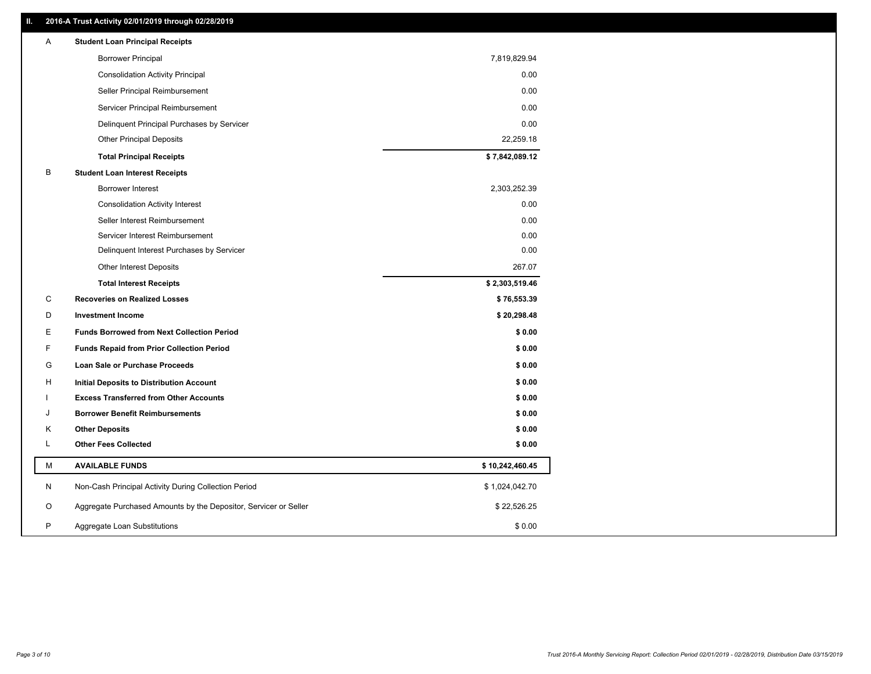#### **II. 2016-A Trust Activity 02/01/2019 through 02/28/2019**

| Α | <b>Student Loan Principal Receipts</b>                           |                 |
|---|------------------------------------------------------------------|-----------------|
|   | <b>Borrower Principal</b>                                        | 7,819,829.94    |
|   | <b>Consolidation Activity Principal</b>                          | 0.00            |
|   | Seller Principal Reimbursement                                   | 0.00            |
|   | Servicer Principal Reimbursement                                 | 0.00            |
|   | Delinquent Principal Purchases by Servicer                       | 0.00            |
|   | <b>Other Principal Deposits</b>                                  | 22,259.18       |
|   | <b>Total Principal Receipts</b>                                  | \$7,842,089.12  |
| В | <b>Student Loan Interest Receipts</b>                            |                 |
|   | Borrower Interest                                                | 2,303,252.39    |
|   | <b>Consolidation Activity Interest</b>                           | 0.00            |
|   | Seller Interest Reimbursement                                    | 0.00            |
|   | Servicer Interest Reimbursement                                  | 0.00            |
|   | Delinquent Interest Purchases by Servicer                        | 0.00            |
|   | Other Interest Deposits                                          | 267.07          |
|   | <b>Total Interest Receipts</b>                                   | \$2,303,519.46  |
| C | <b>Recoveries on Realized Losses</b>                             | \$76,553.39     |
| D | <b>Investment Income</b>                                         | \$20,298.48     |
| Е | <b>Funds Borrowed from Next Collection Period</b>                | \$0.00          |
| F | <b>Funds Repaid from Prior Collection Period</b>                 | \$0.00          |
| G | Loan Sale or Purchase Proceeds                                   | \$0.00          |
| н | Initial Deposits to Distribution Account                         | \$0.00          |
|   | <b>Excess Transferred from Other Accounts</b>                    | \$0.00          |
| J | <b>Borrower Benefit Reimbursements</b>                           | \$0.00          |
| Κ | <b>Other Deposits</b>                                            | \$0.00          |
| L | <b>Other Fees Collected</b>                                      | \$0.00          |
| М | <b>AVAILABLE FUNDS</b>                                           | \$10,242,460.45 |
| N | Non-Cash Principal Activity During Collection Period             | \$1,024,042.70  |
| O | Aggregate Purchased Amounts by the Depositor, Servicer or Seller | \$22,526.25     |
| P | Aggregate Loan Substitutions                                     | \$0.00          |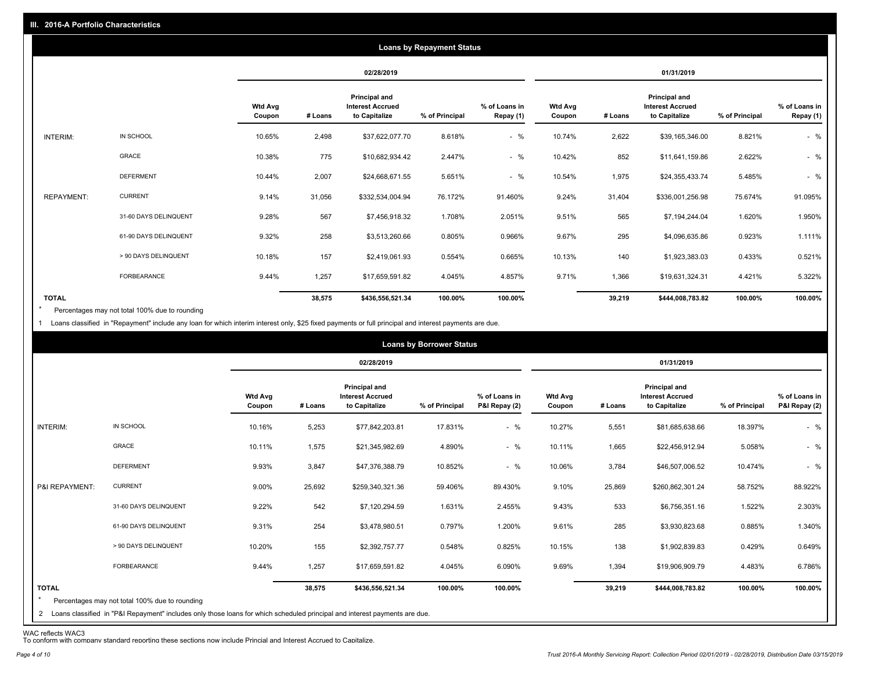|                   |                       |                          |         |                                                           | <b>Loans by Repayment Status</b> |                            |                          |         |                                                                  |                |                            |
|-------------------|-----------------------|--------------------------|---------|-----------------------------------------------------------|----------------------------------|----------------------------|--------------------------|---------|------------------------------------------------------------------|----------------|----------------------------|
|                   |                       |                          |         | 02/28/2019                                                |                                  |                            |                          |         | 01/31/2019                                                       |                |                            |
|                   |                       | <b>Wtd Avg</b><br>Coupon | # Loans | Principal and<br><b>Interest Accrued</b><br>to Capitalize | % of Principal                   | % of Loans in<br>Repay (1) | <b>Wtd Avg</b><br>Coupon | # Loans | <b>Principal and</b><br><b>Interest Accrued</b><br>to Capitalize | % of Principal | % of Loans in<br>Repay (1) |
| INTERIM:          | IN SCHOOL             | 10.65%                   | 2,498   | \$37,622,077.70                                           | 8.618%                           | $-$ %                      | 10.74%                   | 2,622   | \$39,165,346.00                                                  | 8.821%         | $-$ %                      |
|                   | GRACE                 | 10.38%                   | 775     | \$10,682,934.42                                           | 2.447%                           | $-$ %                      | 10.42%                   | 852     | \$11,641,159.86                                                  | 2.622%         | $-$ %                      |
|                   | <b>DEFERMENT</b>      | 10.44%                   | 2,007   | \$24,668,671.55                                           | 5.651%                           | $-$ %                      | 10.54%                   | 1,975   | \$24,355,433.74                                                  | 5.485%         | $-$ %                      |
| <b>REPAYMENT:</b> | <b>CURRENT</b>        | 9.14%                    | 31,056  | \$332,534,004.94                                          | 76.172%                          | 91.460%                    | 9.24%                    | 31,404  | \$336,001,256.98                                                 | 75.674%        | 91.095%                    |
|                   | 31-60 DAYS DELINQUENT | 9.28%                    | 567     | \$7,456,918.32                                            | 1.708%                           | 2.051%                     | 9.51%                    | 565     | \$7,194,244.04                                                   | 1.620%         | 1.950%                     |
|                   | 61-90 DAYS DELINQUENT | 9.32%                    | 258     | \$3,513,260.66                                            | 0.805%                           | 0.966%                     | 9.67%                    | 295     | \$4,096,635.86                                                   | 0.923%         | 1.111%                     |
|                   | > 90 DAYS DELINQUENT  | 10.18%                   | 157     | \$2,419,061.93                                            | 0.554%                           | 0.665%                     | 10.13%                   | 140     | \$1,923,383.03                                                   | 0.433%         | 0.521%                     |
|                   | <b>FORBEARANCE</b>    | 9.44%                    | 1,257   | \$17,659,591.82                                           | 4.045%                           | 4.857%                     | 9.71%                    | 1,366   | \$19,631,324.31                                                  | 4.421%         | 5.322%                     |
| <b>TOTAL</b>      |                       |                          | 38,575  | \$436,556,521.34                                          | 100.00%                          | 100.00%                    |                          | 39,219  | \$444,008,783.82                                                 | 100.00%        | 100.00%                    |

Percentages may not total 100% due to rounding  $\star$ 

1 Loans classified in "Repayment" include any loan for which interim interest only, \$25 fixed payments or full principal and interest payments are due.

|                         |                                                                                                                              |                          |         |                                                           | <b>Loans by Borrower Status</b> |                                |                          |         |                                                                  |                |                                |
|-------------------------|------------------------------------------------------------------------------------------------------------------------------|--------------------------|---------|-----------------------------------------------------------|---------------------------------|--------------------------------|--------------------------|---------|------------------------------------------------------------------|----------------|--------------------------------|
|                         |                                                                                                                              |                          |         | 02/28/2019                                                |                                 |                                |                          |         | 01/31/2019                                                       |                |                                |
|                         |                                                                                                                              | <b>Wtd Avg</b><br>Coupon | # Loans | Principal and<br><b>Interest Accrued</b><br>to Capitalize | % of Principal                  | % of Loans in<br>P&I Repay (2) | <b>Wtd Avg</b><br>Coupon | # Loans | <b>Principal and</b><br><b>Interest Accrued</b><br>to Capitalize | % of Principal | % of Loans in<br>P&I Repay (2) |
| INTERIM:                | IN SCHOOL                                                                                                                    | 10.16%                   | 5,253   | \$77,842,203.81                                           | 17.831%                         | $-$ %                          | 10.27%                   | 5,551   | \$81,685,638.66                                                  | 18.397%        | $-$ %                          |
|                         | <b>GRACE</b>                                                                                                                 | 10.11%                   | 1,575   | \$21,345,982.69                                           | 4.890%                          | $-$ %                          | 10.11%                   | 1,665   | \$22,456,912.94                                                  | 5.058%         | $-$ %                          |
|                         | <b>DEFERMENT</b>                                                                                                             | 9.93%                    | 3,847   | \$47,376,388.79                                           | 10.852%                         | $-$ %                          | 10.06%                   | 3,784   | \$46,507,006.52                                                  | 10.474%        | $-$ %                          |
| P&I REPAYMENT:          | <b>CURRENT</b>                                                                                                               | 9.00%                    | 25,692  | \$259,340,321.36                                          | 59.406%                         | 89.430%                        | 9.10%                    | 25,869  | \$260,862,301.24                                                 | 58.752%        | 88.922%                        |
|                         | 31-60 DAYS DELINQUENT                                                                                                        | 9.22%                    | 542     | \$7,120,294.59                                            | 1.631%                          | 2.455%                         | 9.43%                    | 533     | \$6,756,351.16                                                   | 1.522%         | 2.303%                         |
|                         | 61-90 DAYS DELINQUENT                                                                                                        | 9.31%                    | 254     | \$3,478,980.51                                            | 0.797%                          | 1.200%                         | 9.61%                    | 285     | \$3,930,823.68                                                   | 0.885%         | 1.340%                         |
|                         | > 90 DAYS DELINQUENT                                                                                                         | 10.20%                   | 155     | \$2,392,757.77                                            | 0.548%                          | 0.825%                         | 10.15%                   | 138     | \$1,902,839.83                                                   | 0.429%         | 0.649%                         |
|                         | FORBEARANCE                                                                                                                  | 9.44%                    | 1,257   | \$17,659,591.82                                           | 4.045%                          | 6.090%                         | 9.69%                    | 1,394   | \$19,906,909.79                                                  | 4.483%         | 6.786%                         |
| <b>TOTAL</b><br>$\star$ | Percentages may not total 100% due to rounding                                                                               |                          | 38,575  | \$436,556,521.34                                          | 100.00%                         | 100.00%                        |                          | 39,219  | \$444,008,783.82                                                 | 100.00%        | 100.00%                        |
|                         | 2 Loans classified in "P&I Repayment" includes only those loans for which scheduled principal and interest payments are due. |                          |         |                                                           |                                 |                                |                          |         |                                                                  |                |                                |

WAC reflects WAC3 To conform with company standard reporting these sections now include Princial and Interest Accrued to Capitalize.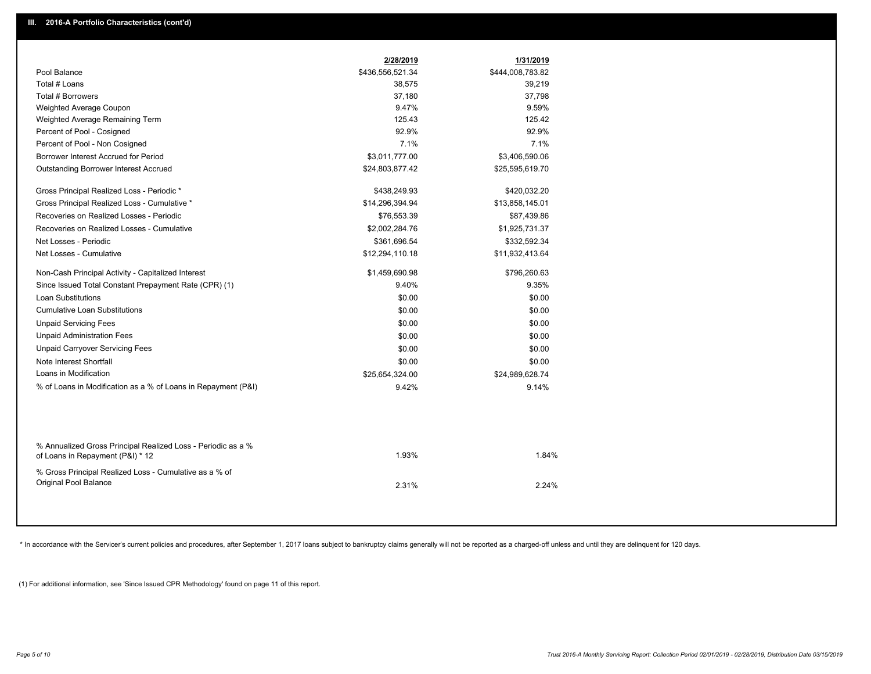|                                                                                                  | 2/28/2019        | 1/31/2019        |
|--------------------------------------------------------------------------------------------------|------------------|------------------|
| Pool Balance                                                                                     | \$436,556,521.34 | \$444,008,783.82 |
| Total # Loans                                                                                    | 38,575           | 39,219           |
| <b>Total # Borrowers</b>                                                                         | 37,180           | 37,798           |
| Weighted Average Coupon                                                                          | 9.47%            | 9.59%            |
| Weighted Average Remaining Term                                                                  | 125.43           | 125.42           |
| Percent of Pool - Cosigned                                                                       | 92.9%            | 92.9%            |
| Percent of Pool - Non Cosigned                                                                   | 7.1%             | 7.1%             |
| Borrower Interest Accrued for Period                                                             | \$3,011,777.00   | \$3,406,590.06   |
| <b>Outstanding Borrower Interest Accrued</b>                                                     | \$24,803,877.42  | \$25,595,619.70  |
| Gross Principal Realized Loss - Periodic *                                                       | \$438,249.93     | \$420,032.20     |
| Gross Principal Realized Loss - Cumulative *                                                     | \$14,296,394.94  | \$13,858,145.01  |
| Recoveries on Realized Losses - Periodic                                                         | \$76,553.39      | \$87,439.86      |
| Recoveries on Realized Losses - Cumulative                                                       | \$2,002,284.76   | \$1,925,731.37   |
| Net Losses - Periodic                                                                            | \$361,696.54     | \$332,592.34     |
| Net Losses - Cumulative                                                                          | \$12,294,110.18  | \$11,932,413.64  |
| Non-Cash Principal Activity - Capitalized Interest                                               | \$1,459,690.98   | \$796,260.63     |
| Since Issued Total Constant Prepayment Rate (CPR) (1)                                            | 9.40%            | 9.35%            |
| <b>Loan Substitutions</b>                                                                        | \$0.00           | \$0.00           |
| <b>Cumulative Loan Substitutions</b>                                                             | \$0.00           | \$0.00           |
| <b>Unpaid Servicing Fees</b>                                                                     | \$0.00           | \$0.00           |
| <b>Unpaid Administration Fees</b>                                                                | \$0.00           | \$0.00           |
| <b>Unpaid Carryover Servicing Fees</b>                                                           | \$0.00           | \$0.00           |
| Note Interest Shortfall                                                                          | \$0.00           | \$0.00           |
| Loans in Modification                                                                            | \$25,654,324.00  | \$24,989,628.74  |
| % of Loans in Modification as a % of Loans in Repayment (P&I)                                    | 9.42%            | 9.14%            |
|                                                                                                  |                  |                  |
| % Annualized Gross Principal Realized Loss - Periodic as a %<br>of Loans in Repayment (P&I) * 12 | 1.93%            | 1.84%            |
| % Gross Principal Realized Loss - Cumulative as a % of<br>Original Pool Balance                  | 2.31%            | 2.24%            |
|                                                                                                  |                  |                  |

\* In accordance with the Servicer's current policies and procedures, after September 1, 2017 loans subject to bankruptcy claims generally will not be reported as a charged-off unless and until they are delinquent for 120 d

(1) For additional information, see 'Since Issued CPR Methodology' found on page 11 of this report.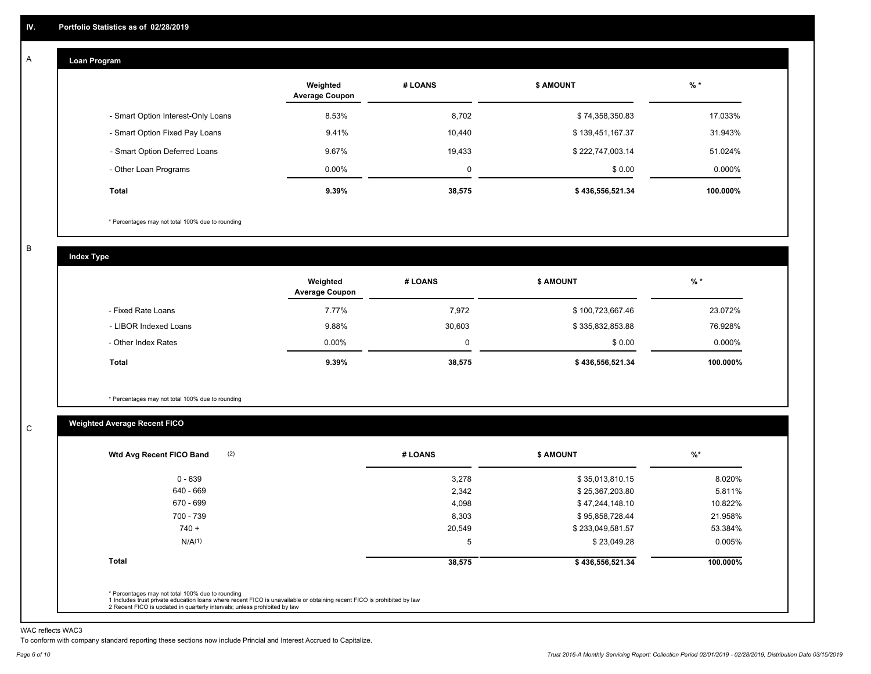#### **Loan Program**  A

|                                    | Weighted<br><b>Average Coupon</b> | # LOANS | <b>\$ AMOUNT</b> | $%$ *     |
|------------------------------------|-----------------------------------|---------|------------------|-----------|
| - Smart Option Interest-Only Loans | 8.53%                             | 8,702   | \$74,358,350.83  | 17.033%   |
| - Smart Option Fixed Pay Loans     | 9.41%                             | 10,440  | \$139,451,167.37 | 31.943%   |
| - Smart Option Deferred Loans      | 9.67%                             | 19,433  | \$222,747,003.14 | 51.024%   |
| - Other Loan Programs              | $0.00\%$                          | 0       | \$0.00           | $0.000\%$ |
| <b>Total</b>                       | 9.39%                             | 38,575  | \$436,556,521.34 | 100.000%  |

\* Percentages may not total 100% due to rounding

B

C

**Index Type**

|                       | Weighted<br><b>Average Coupon</b> | # LOANS  | \$ AMOUNT        | $%$ *     |
|-----------------------|-----------------------------------|----------|------------------|-----------|
| - Fixed Rate Loans    | 7.77%                             | 7,972    | \$100,723,667.46 | 23.072%   |
| - LIBOR Indexed Loans | 9.88%                             | 30,603   | \$335,832,853.88 | 76.928%   |
| - Other Index Rates   | $0.00\%$                          | $\Omega$ | \$0.00           | $0.000\%$ |
| Total                 | 9.39%                             | 38,575   | \$436,556,521.34 | 100.000%  |

\* Percentages may not total 100% due to rounding

### **Weighted Average Recent FICO**

| $0 - 639$          | 3,278  |                  |          |
|--------------------|--------|------------------|----------|
|                    |        | \$35,013,810.15  | 8.020%   |
| 640 - 669          | 2,342  | \$25,367,203.80  | 5.811%   |
| 670 - 699          | 4,098  | \$47,244,148.10  | 10.822%  |
| 700 - 739          | 8,303  | \$95,858,728.44  | 21.958%  |
| $740 +$            | 20,549 | \$233,049,581.57 | 53.384%  |
| N/A <sup>(1)</sup> | 5      | \$23,049.28      | 0.005%   |
| <b>Total</b>       | 38,575 | \$436,556,521.34 | 100.000% |

WAC reflects WAC3

To conform with company standard reporting these sections now include Princial and Interest Accrued to Capitalize.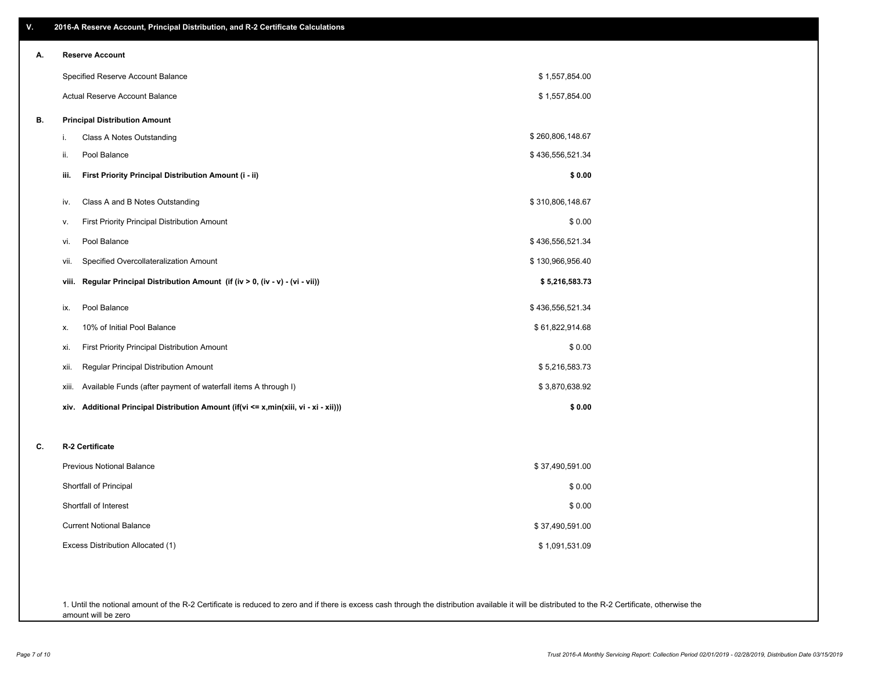| ۷. | 2016-A Reserve Account, Principal Distribution, and R-2 Certificate Calculations     |                  |
|----|--------------------------------------------------------------------------------------|------------------|
| А. | <b>Reserve Account</b>                                                               |                  |
|    | Specified Reserve Account Balance                                                    | \$1,557,854.00   |
|    | Actual Reserve Account Balance                                                       | \$1,557,854.00   |
| В. | <b>Principal Distribution Amount</b>                                                 |                  |
|    | Class A Notes Outstanding<br>i.                                                      | \$260,806,148.67 |
|    | Pool Balance<br>ii.                                                                  | \$436,556,521.34 |
|    | First Priority Principal Distribution Amount (i - ii)<br>iii.                        | \$0.00           |
|    | Class A and B Notes Outstanding<br>iv.                                               | \$310,806,148.67 |
|    | First Priority Principal Distribution Amount<br>ν.                                   | \$0.00           |
|    | Pool Balance<br>vi.                                                                  | \$436,556,521.34 |
|    | Specified Overcollateralization Amount<br>vii.                                       | \$130,966,956.40 |
|    | Regular Principal Distribution Amount (if (iv > 0, (iv - v) - (vi - vii))<br>viii.   | \$5,216,583.73   |
|    | Pool Balance<br>ix.                                                                  | \$436,556,521.34 |
|    | 10% of Initial Pool Balance<br>х.                                                    | \$61,822,914.68  |
|    | First Priority Principal Distribution Amount<br>xi.                                  | \$0.00           |
|    | Regular Principal Distribution Amount<br>xii.                                        | \$5,216,583.73   |
|    | Available Funds (after payment of waterfall items A through I)<br>xiii.              | \$3,870,638.92   |
|    | xiv. Additional Principal Distribution Amount (if(vi <= x,min(xiii, vi - xi - xii))) | \$0.00           |
| C. | R-2 Certificate                                                                      |                  |
|    | Previous Notional Balance                                                            | \$37,490,591.00  |
|    | Shortfall of Principal                                                               | \$0.00           |
|    | Shortfall of Interest                                                                | \$0.00           |
|    | <b>Current Notional Balance</b>                                                      | \$37,490,591.00  |
|    | Excess Distribution Allocated (1)                                                    | \$1,091,531.09   |
|    |                                                                                      |                  |
|    |                                                                                      |                  |

1. Until the notional amount of the R-2 Certificate is reduced to zero and if there is excess cash through the distribution available it will be distributed to the R-2 Certificate, otherwise the amount will be zero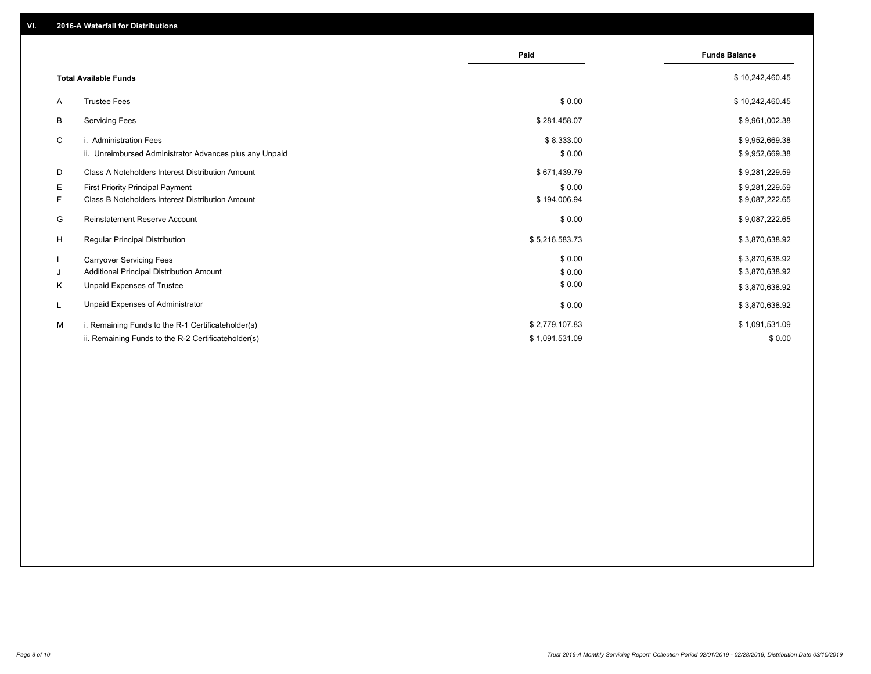|    |                                                         | Paid           | <b>Funds Balance</b> |
|----|---------------------------------------------------------|----------------|----------------------|
|    | <b>Total Available Funds</b>                            |                | \$10,242,460.45      |
| A  | <b>Trustee Fees</b>                                     | \$0.00         | \$10,242,460.45      |
| В  | <b>Servicing Fees</b>                                   | \$281,458.07   | \$9,961,002.38       |
| C  | i. Administration Fees                                  | \$8,333.00     | \$9,952,669.38       |
|    | ii. Unreimbursed Administrator Advances plus any Unpaid | \$0.00         | \$9,952,669.38       |
| D  | Class A Noteholders Interest Distribution Amount        | \$671,439.79   | \$9,281,229.59       |
| E. | First Priority Principal Payment                        | \$0.00         | \$9,281,229.59       |
| F. | Class B Noteholders Interest Distribution Amount        | \$194,006.94   | \$9,087,222.65       |
| G  | <b>Reinstatement Reserve Account</b>                    | \$0.00         | \$9,087,222.65       |
| H  | Regular Principal Distribution                          | \$5,216,583.73 | \$3,870,638.92       |
|    | <b>Carryover Servicing Fees</b>                         | \$0.00         | \$3,870,638.92       |
| J  | Additional Principal Distribution Amount                | \$0.00         | \$3,870,638.92       |
| Κ  | Unpaid Expenses of Trustee                              | \$0.00         | \$3,870,638.92       |
|    | Unpaid Expenses of Administrator                        | \$0.00         | \$3,870,638.92       |
| м  | i. Remaining Funds to the R-1 Certificateholder(s)      | \$2,779,107.83 | \$1,091,531.09       |
|    | ii. Remaining Funds to the R-2 Certificateholder(s)     | \$1,091,531.09 | \$0.00               |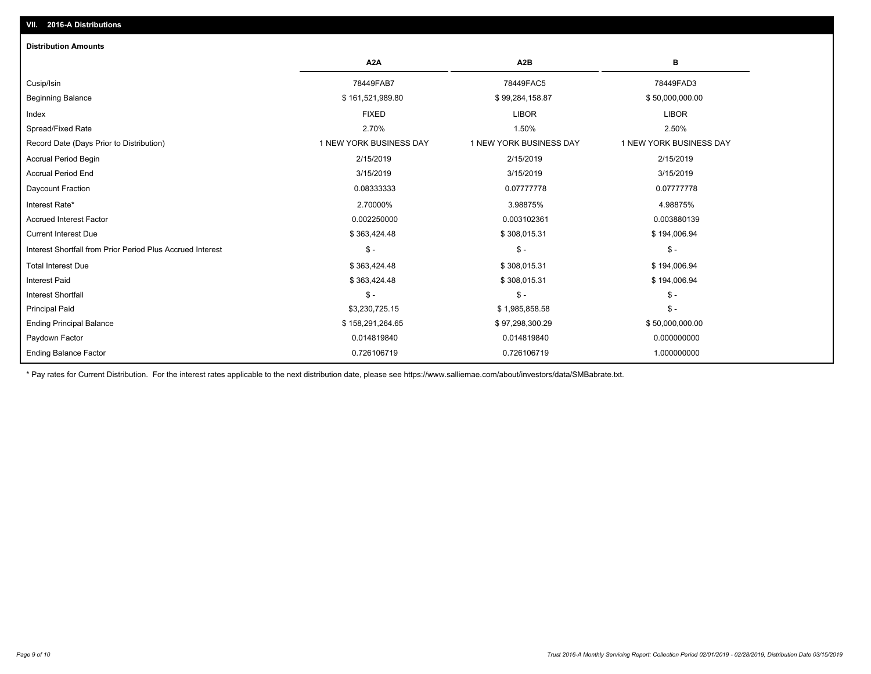| <b>Distribution Amounts</b>                                |                         |                         |                         |
|------------------------------------------------------------|-------------------------|-------------------------|-------------------------|
|                                                            | A <sub>2</sub> A        | A <sub>2</sub> B        | в                       |
| Cusip/Isin                                                 | 78449FAB7               | 78449FAC5               | 78449FAD3               |
| <b>Beginning Balance</b>                                   | \$161,521,989.80        | \$99,284,158.87         | \$50,000,000.00         |
| Index                                                      | <b>FIXED</b>            | <b>LIBOR</b>            | <b>LIBOR</b>            |
| Spread/Fixed Rate                                          | 2.70%                   | 1.50%                   | 2.50%                   |
| Record Date (Days Prior to Distribution)                   | 1 NEW YORK BUSINESS DAY | 1 NEW YORK BUSINESS DAY | 1 NEW YORK BUSINESS DAY |
| <b>Accrual Period Begin</b>                                | 2/15/2019               | 2/15/2019               | 2/15/2019               |
| <b>Accrual Period End</b>                                  | 3/15/2019               | 3/15/2019               | 3/15/2019               |
| Daycount Fraction                                          | 0.08333333              | 0.07777778              | 0.07777778              |
| Interest Rate*                                             | 2.70000%                | 3.98875%                | 4.98875%                |
| <b>Accrued Interest Factor</b>                             | 0.002250000             | 0.003102361             | 0.003880139             |
| <b>Current Interest Due</b>                                | \$363,424.48            | \$308,015.31            | \$194,006.94            |
| Interest Shortfall from Prior Period Plus Accrued Interest | $$ -$                   | $$ -$                   | $\mathsf{\$}$ -         |
| <b>Total Interest Due</b>                                  | \$363,424.48            | \$308,015.31            | \$194,006.94            |
| <b>Interest Paid</b>                                       | \$363,424.48            | \$308,015.31            | \$194,006.94            |
| <b>Interest Shortfall</b>                                  | $$ -$                   | $$ -$                   | $\frac{1}{2}$ -         |
| <b>Principal Paid</b>                                      | \$3,230,725.15          | \$1,985,858.58          | $$ -$                   |
| <b>Ending Principal Balance</b>                            | \$158,291,264.65        | \$97,298,300.29         | \$50,000,000.00         |
| Paydown Factor                                             | 0.014819840             | 0.014819840             | 0.000000000             |
| <b>Ending Balance Factor</b>                               | 0.726106719             | 0.726106719             | 1.000000000             |

\* Pay rates for Current Distribution. For the interest rates applicable to the next distribution date, please see https://www.salliemae.com/about/investors/data/SMBabrate.txt.

**VII. 2016-A Distributions**